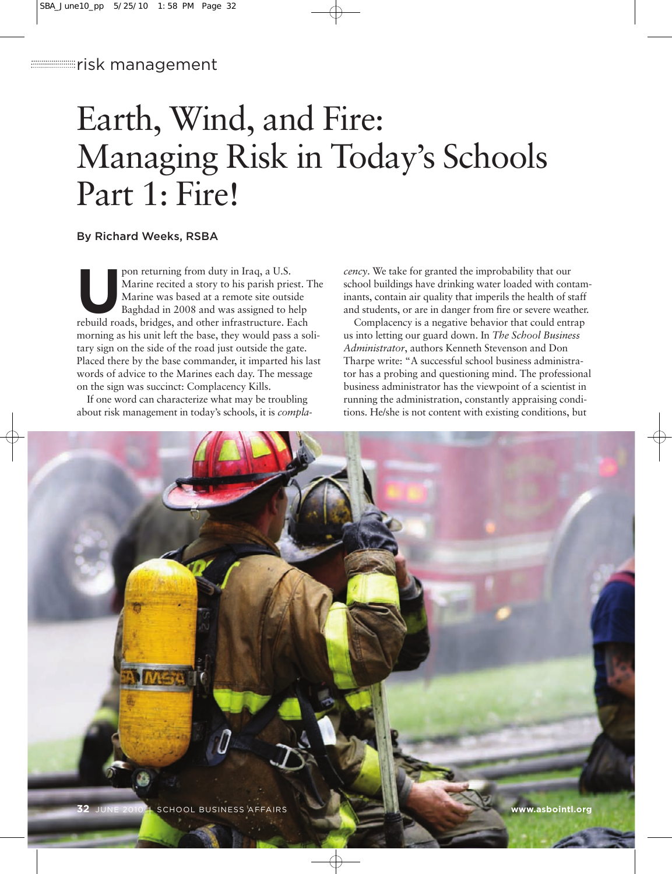# Earth, Wind, and Fire: Managing Risk in Today's Schools Part 1: Fire!

# By Richard Weeks, RSBA

pon returning from duty in Iraq, a U.S.<br>Marine recited a story to his parish prior<br>Marine was based at a remote site outs<br>Baghdad in 2008 and was assigned to l<br>rebuild roads, bridges, and other infrastructure. Marine recited a story to his parish priest. The Marine was based at a remote site outside Baghdad in 2008 and was assigned to help rebuild roads, bridges, and other infrastructure. Each morning as his unit left the base, they would pass a solitary sign on the side of the road just outside the gate. Placed there by the base commander, it imparted his last words of advice to the Marines each day. The message on the sign was succinct: Complacency Kills.

If one word can characterize what may be troubling about risk management in today's schools, it is *compla-*

*cency*. We take for granted the improbability that our school buildings have drinking water loaded with contaminants, contain air quality that imperils the health of staff and students, or are in danger from fire or severe weather.

Complacency is a negative behavior that could entrap us into letting our guard down. In *The School Business Administrator*, authors Kenneth Stevenson and Don Tharpe write: "A successful school business administrator has a probing and questioning mind. The professional business administrator has the viewpoint of a scientist in running the administration, constantly appraising conditions. He/she is not content with existing conditions, but

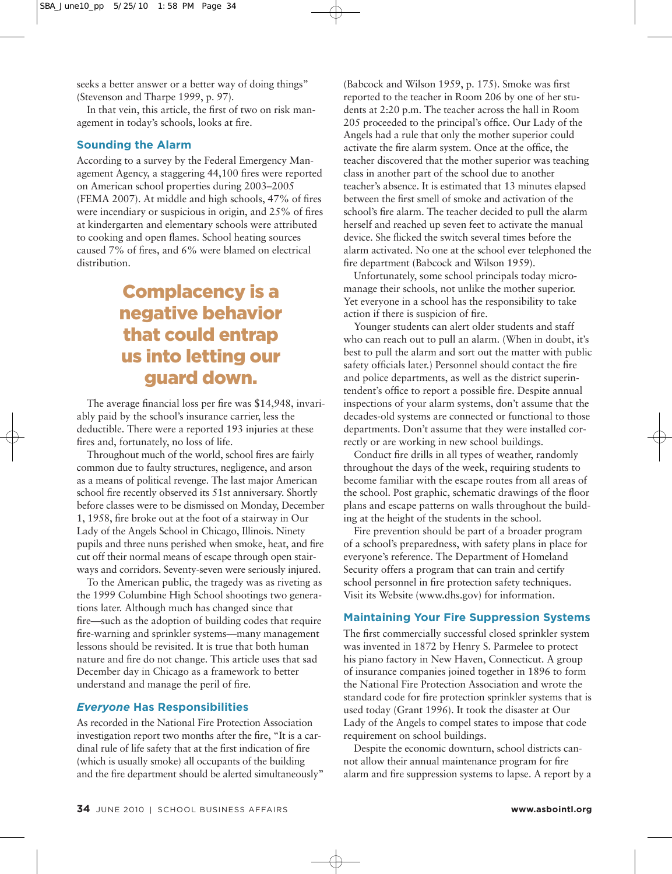seeks a better answer or a better way of doing things" (Stevenson and Tharpe 1999, p. 97).

In that vein, this article, the first of two on risk management in today's schools, looks at fire.

## **Sounding the Alarm**

According to a survey by the Federal Emergency Management Agency, a staggering 44,100 fires were reported on American school properties during 2003–2005 (FEMA 2007). At middle and high schools, 47% of fires were incendiary or suspicious in origin, and 25% of fires at kindergarten and elementary schools were attributed to cooking and open flames. School heating sources caused 7% of fires, and 6% were blamed on electrical distribution.

# Complacency is a negative behavior that could entrap us into letting our guard down.

The average financial loss per fire was \$14,948, invariably paid by the school's insurance carrier, less the deductible. There were a reported 193 injuries at these fires and, fortunately, no loss of life.

Throughout much of the world, school fires are fairly common due to faulty structures, negligence, and arson as a means of political revenge. The last major American school fire recently observed its 51st anniversary. Shortly before classes were to be dismissed on Monday, December 1, 1958, fire broke out at the foot of a stairway in Our Lady of the Angels School in Chicago, Illinois. Ninety pupils and three nuns perished when smoke, heat, and fire cut off their normal means of escape through open stairways and corridors. Seventy-seven were seriously injured.

To the American public, the tragedy was as riveting as the 1999 Columbine High School shootings two generations later. Although much has changed since that fire—such as the adoption of building codes that require fire-warning and sprinkler systems—many management lessons should be revisited. It is true that both human nature and fire do not change. This article uses that sad December day in Chicago as a framework to better understand and manage the peril of fire.

### *Everyone* **Has Responsibilities**

As recorded in the National Fire Protection Association investigation report two months after the fire, "It is a cardinal rule of life safety that at the first indication of fire (which is usually smoke) all occupants of the building and the fire department should be alerted simultaneously"

(Babcock and Wilson 1959, p. 175). Smoke was first reported to the teacher in Room 206 by one of her students at 2:20 p.m. The teacher across the hall in Room 205 proceeded to the principal's office. Our Lady of the Angels had a rule that only the mother superior could activate the fire alarm system. Once at the office, the teacher discovered that the mother superior was teaching class in another part of the school due to another teacher's absence. It is estimated that 13 minutes elapsed between the first smell of smoke and activation of the school's fire alarm. The teacher decided to pull the alarm herself and reached up seven feet to activate the manual device. She flicked the switch several times before the alarm activated. No one at the school ever telephoned the fire department (Babcock and Wilson 1959).

Unfortunately, some school principals today micromanage their schools, not unlike the mother superior. Yet everyone in a school has the responsibility to take action if there is suspicion of fire.

Younger students can alert older students and staff who can reach out to pull an alarm. (When in doubt, it's best to pull the alarm and sort out the matter with public safety officials later.) Personnel should contact the fire and police departments, as well as the district superintendent's office to report a possible fire. Despite annual inspections of your alarm systems, don't assume that the decades-old systems are connected or functional to those departments. Don't assume that they were installed correctly or are working in new school buildings.

Conduct fire drills in all types of weather, randomly throughout the days of the week, requiring students to become familiar with the escape routes from all areas of the school. Post graphic, schematic drawings of the floor plans and escape patterns on walls throughout the building at the height of the students in the school.

Fire prevention should be part of a broader program of a school's preparedness, with safety plans in place for everyone's reference. The Department of Homeland Security offers a program that can train and certify school personnel in fire protection safety techniques. Visit its Website (www.dhs.gov) for information.

### **Maintaining Your Fire Suppression Systems**

The first commercially successful closed sprinkler system was invented in 1872 by Henry S. Parmelee to protect his piano factory in New Haven, Connecticut. A group of insurance companies joined together in 1896 to form the National Fire Protection Association and wrote the standard code for fire protection sprinkler systems that is used today (Grant 1996). It took the disaster at Our Lady of the Angels to compel states to impose that code requirement on school buildings.

Despite the economic downturn, school districts cannot allow their annual maintenance program for fire alarm and fire suppression systems to lapse. A report by a